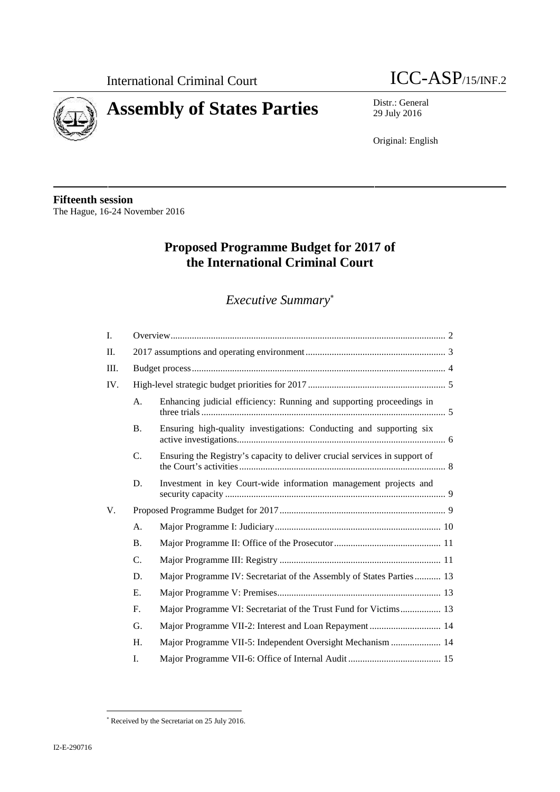



29 July 2016

Original: English

**Fifteenth session** The Hague, 16-24 November 2016

# **Proposed Programme Budget for 2017 of the International Criminal Court**

# *Executive Summary*

| I.  |             |                                                                            |
|-----|-------------|----------------------------------------------------------------------------|
| Π.  |             |                                                                            |
| Ш.  |             |                                                                            |
| IV. |             |                                                                            |
|     | A.          | Enhancing judicial efficiency: Running and supporting proceedings in       |
|     | <b>B.</b>   | Ensuring high-quality investigations: Conducting and supporting six        |
|     | C.          | Ensuring the Registry's capacity to deliver crucial services in support of |
|     | D.          | Investment in key Court-wide information management projects and           |
| V.  |             |                                                                            |
|     | A.          |                                                                            |
|     | <b>B.</b>   |                                                                            |
|     | $C_{\cdot}$ |                                                                            |
|     | D.          | Major Programme IV: Secretariat of the Assembly of States Parties 13       |
|     | Ε.          |                                                                            |
|     | F.          | Major Programme VI: Secretariat of the Trust Fund for Victims 13           |
|     | G.          | Major Programme VII-2: Interest and Loan Repayment  14                     |
|     | H.          | Major Programme VII-5: Independent Oversight Mechanism  14                 |
|     | I.          |                                                                            |

Received by the Secretariat on 25 July 2016.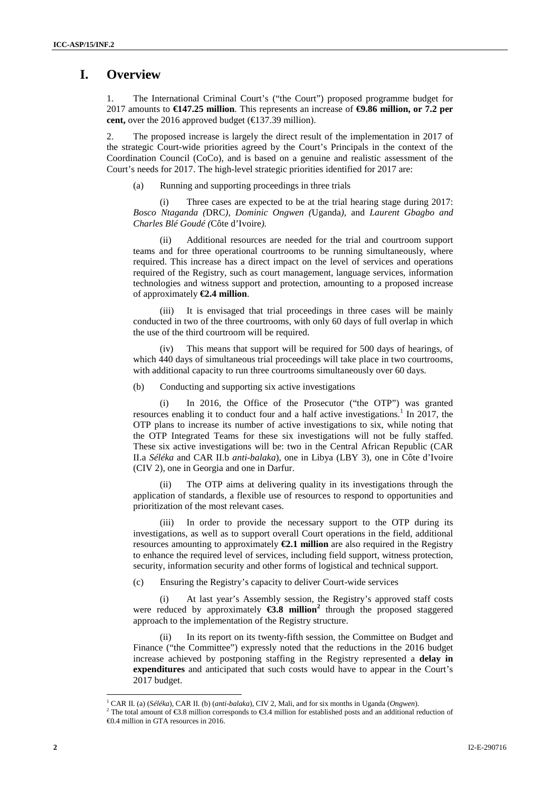## **I. Overview**

1. The International Criminal Court's ("the Court") proposed programme budget for 2017 amounts to **€147.25 million**. This represents an increase of **€9.86 million, or 7.2 per cent,** over the 2016 approved budget ( $\in$ 137.39 million).

2. The proposed increase is largely the direct result of the implementation in 2017 of the strategic Court-wide priorities agreed by the Court's Principals in the context of the Coordination Council (CoCo), and is based on a genuine and realistic assessment of the Court's needs for 2017. The high-level strategic priorities identified for 2017 are:

(a) Running and supporting proceedings in three trials

(i) Three cases are expected to be at the trial hearing stage during 2017: *Bosco Ntaganda (*DRC*), Dominic Ongwen (*Uganda*),* and *Laurent Gbagbo and Charles Blé Goudé (*Côte d'Ivoire*).*

(ii) Additional resources are needed for the trial and courtroom support teams and for three operational courtrooms to be running simultaneously, where required. This increase has a direct impact on the level of services and operations required of the Registry, such as court management, language services, information technologies and witness support and protection, amounting to a proposed increase of approximately **€2.4 million**.

(iii) It is envisaged that trial proceedings in three cases will be mainly conducted in two of the three courtrooms, with only 60 days of full overlap in which the use of the third courtroom will be required.

(iv) This means that support will be required for 500 days of hearings, of which 440 days of simultaneous trial proceedings will take place in two courtrooms, with additional capacity to run three courtrooms simultaneously over 60 days.

(b) Conducting and supporting six active investigations

(i) In 2016, the Office of the Prosecutor ("the OTP") was granted resources enabling it to conduct four and a half active investigations.<sup>1</sup> In 2017, the OTP plans to increase its number of active investigations to six, while noting that the OTP Integrated Teams for these six investigations will not be fully staffed. These six active investigations will be: two in the Central African Republic (CAR II.a *Séléka* and CAR II.b *anti-balaka*), one in Libya (LBY 3), one in Côte d'Ivoire (CIV 2), one in Georgia and one in Darfur.

The OTP aims at delivering quality in its investigations through the application of standards, a flexible use of resources to respond to opportunities and prioritization of the most relevant cases.

(iii) In order to provide the necessary support to the OTP during its investigations, as well as to support overall Court operations in the field, additional resources amounting to approximately **€2.1 million** are also required in the Registry to enhance the required level of services, including field support, witness protection, security, information security and other forms of logistical and technical support.

(c) Ensuring the Registry's capacity to deliver Court-wide services

(i) At last year's Assembly session, the Registry's approved staff costs were reduced by approximately **€3.8 million<sup>2</sup>** through the proposed staggered approach to the implementation of the Registry structure.

(ii) In its report on its twenty-fifth session, the Committee on Budget and Finance ("the Committee") expressly noted that the reductions in the 2016 budget increase achieved by postponing staffing in the Registry represented a **delay in expenditures** and anticipated that such costs would have to appear in the Court's 2017 budget.

<sup>1</sup> CAR II. (a) (*Séléka*), CAR II. (b) (*anti-balaka*), CIV 2, Mali, and for six months in Uganda (*Ongwen*).

<sup>&</sup>lt;sup>2</sup> The total amount of  $\bigoplus$ .8 million corresponds to  $\bigoplus$ .4 million for established posts and an additional reduction of €0.4 million in GTA resources in 2016.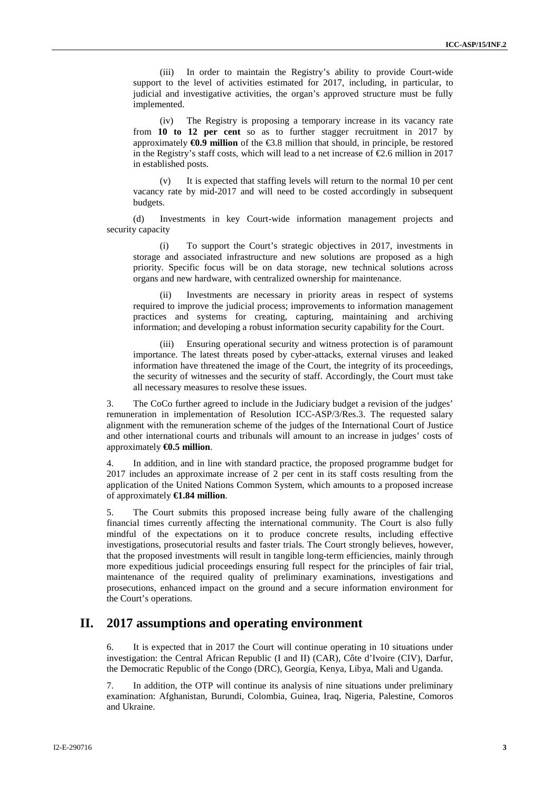(iii) In order to maintain the Registry's ability to provide Court-wide support to the level of activities estimated for 2017, including, in particular, to judicial and investigative activities, the organ's approved structure must be fully implemented.

(iv) The Registry is proposing a temporary increase in its vacancy rate from **10 to 12 per cent** so as to further stagger recruitment in 2017 by approximately **€0.9 million** of the €3.8 million that should, in principle, be restored in the Registry's staff costs, which will lead to a net increase of  $\epsilon$ 2.6 million in 2017 in established posts.

(v) It is expected that staffing levels will return to the normal 10 per cent vacancy rate by mid-2017 and will need to be costed accordingly in subsequent budgets.

(d) Investments in key Court-wide information management projects and security capacity

(i) To support the Court's strategic objectives in 2017, investments in storage and associated infrastructure and new solutions are proposed as a high priority. Specific focus will be on data storage, new technical solutions across organs and new hardware, with centralized ownership for maintenance.

Investments are necessary in priority areas in respect of systems required to improve the judicial process; improvements to information management practices and systems for creating, capturing, maintaining and archiving information; and developing a robust information security capability for the Court.

(iii) Ensuring operational security and witness protection is of paramount importance. The latest threats posed by cyber-attacks, external viruses and leaked information have threatened the image of the Court, the integrity of its proceedings, the security of witnesses and the security of staff. Accordingly, the Court must take all necessary measures to resolve these issues.

3. The CoCo further agreed to include in the Judiciary budget a revision of the judges' remuneration in implementation of Resolution ICC-ASP/3/Res.3. The requested salary alignment with the remuneration scheme of the judges of the International Court of Justice and other international courts and tribunals will amount to an increase in judges' costs of approximately **€0.5 million**.

4. In addition, and in line with standard practice, the proposed programme budget for 2017 includes an approximate increase of 2 per cent in its staff costs resulting from the application of the United Nations Common System, which amounts to a proposed increase of approximately **€1.84 million**.

5. The Court submits this proposed increase being fully aware of the challenging financial times currently affecting the international community. The Court is also fully mindful of the expectations on it to produce concrete results, including effective investigations, prosecutorial results and faster trials. The Court strongly believes, however, that the proposed investments will result in tangible long-term efficiencies, mainly through more expeditious judicial proceedings ensuring full respect for the principles of fair trial, maintenance of the required quality of preliminary examinations, investigations and prosecutions, enhanced impact on the ground and a secure information environment for the Court's operations.

# **II. 2017 assumptions and operating environment**

6. It is expected that in 2017 the Court will continue operating in 10 situations under investigation: the Central African Republic (I and II) (CAR), Côte d'Ivoire (CIV), Darfur, the Democratic Republic of the Congo (DRC), Georgia, Kenya, Libya, Mali and Uganda.

7. In addition, the OTP will continue its analysis of nine situations under preliminary examination: Afghanistan, Burundi, Colombia, Guinea, Iraq, Nigeria, Palestine, Comoros and Ukraine.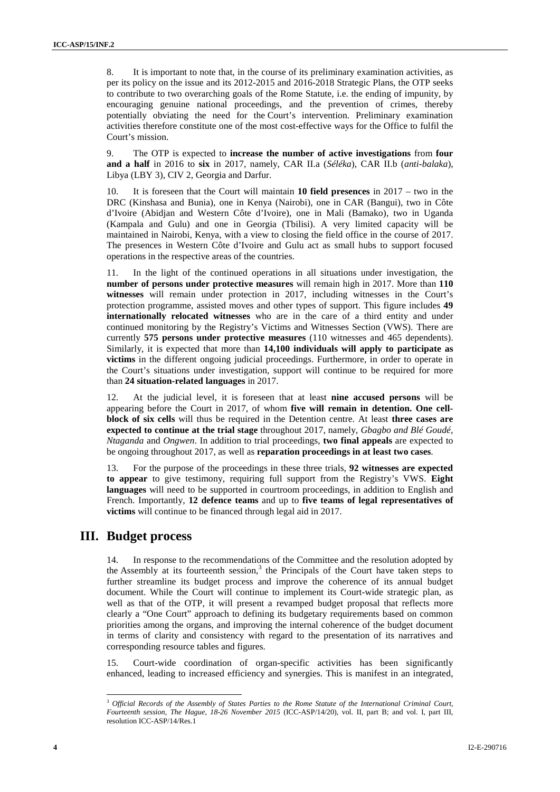8. It is important to note that, in the course of its preliminary examination activities, as per its policy on the issue and its 2012-2015 and 2016-2018 Strategic Plans, the OTP seeks to contribute to two overarching goals of the Rome Statute, i.e. the ending of impunity, by encouraging genuine national proceedings, and the prevention of crimes, thereby potentially obviating the need for the Court's intervention. Preliminary examination activities therefore constitute one of the most cost-effective ways for the Office to fulfil the Court's mission.

9. The OTP is expected to **increase the number of active investigations** from **four and a half** in 2016 to **six** in 2017, namely, CAR II.a (*Séléka*), CAR II.b (*anti-balaka*), Libya (LBY 3), CIV 2, Georgia and Darfur.

10. It is foreseen that the Court will maintain **10 field presences** in 2017 – two in the DRC (Kinshasa and Bunia), one in Kenya (Nairobi), one in CAR (Bangui), two in Côte d'Ivoire (Abidjan and Western Côte d'Ivoire), one in Mali (Bamako), two in Uganda (Kampala and Gulu) and one in Georgia (Tbilisi). A very limited capacity will be maintained in Nairobi, Kenya, with a view to closing the field office in the course of 2017. The presences in Western Côte d'Ivoire and Gulu act as small hubs to support focused operations in the respective areas of the countries.

11. In the light of the continued operations in all situations under investigation, the **number of persons under protective measures** will remain high in 2017. More than **110 witnesses** will remain under protection in 2017, including witnesses in the Court's protection programme, assisted moves and other types of support. This figure includes **49 internationally relocated witnesses** who are in the care of a third entity and under continued monitoring by the Registry's Victims and Witnesses Section (VWS). There are currently **575 persons under protective measures** (110 witnesses and 465 dependents). Similarly, it is expected that more than **14,100 individuals will apply to participate as victims** in the different ongoing judicial proceedings. Furthermore, in order to operate in the Court's situations under investigation, support will continue to be required for more than **24 situation-related languages** in 2017.

12. At the judicial level, it is foreseen that at least **nine accused persons** will be appearing before the Court in 2017, of whom **five will remain in detention. One cell block of six cells** will thus be required in the Detention centre. At least **three cases are expected to continue at the trial stage** throughout 2017, namely, *Gbagbo and Blé Goudé*, *Ntaganda* and *Ongwen*. In addition to trial proceedings, **two final appeals** are expected to be ongoing throughout 2017, as well as **reparation proceedings in at least two cases**.

13. For the purpose of the proceedings in these three trials, **92 witnesses are expected to appear** to give testimony, requiring full support from the Registry's VWS. **Eight languages** will need to be supported in courtroom proceedings, in addition to English and French. Importantly, **12 defence teams** and up to **five teams of legal representatives of victims** will continue to be financed through legal aid in 2017.

## **III. Budget process**

In response to the recommendations of the Committee and the resolution adopted by the Assembly at its fourteenth session,<sup>3</sup> the Principals of the Court have taken steps to further streamline its budget process and improve the coherence of its annual budget document. While the Court will continue to implement its Court-wide strategic plan, as well as that of the OTP, it will present a revamped budget proposal that reflects more clearly a "One Court" approach to defining its budgetary requirements based on common priorities among the organs, and improving the internal coherence of the budget document in terms of clarity and consistency with regard to the presentation of its narratives and corresponding resource tables and figures.

15. Court-wide coordination of organ-specific activities has been significantly enhanced, leading to increased efficiency and synergies. This is manifest in an integrated,

<sup>3</sup> *Official Records of the Assembly of States Parties to the Rome Statute of the International Criminal Court, Fourteenth session, The Hague, 18-26 November 2015* (ICC-ASP/14/20), vol. II, part B; and vol. I, part III, resolution ICC-ASP/14/Res.1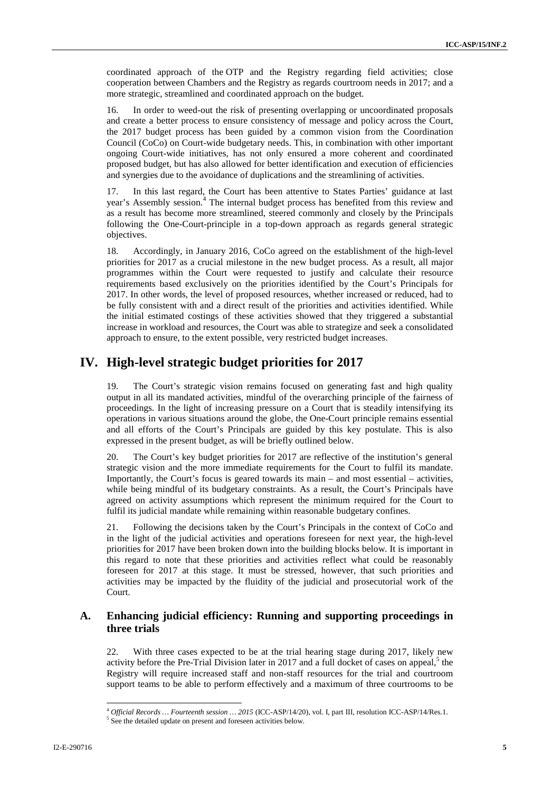coordinated approach of the OTP and the Registry regarding field activities; close cooperation between Chambers and the Registry as regards courtroom needs in 2017; and a more strategic, streamlined and coordinated approach on the budget.

16. In order to weed-out the risk of presenting overlapping or uncoordinated proposals and create a better process to ensure consistency of message and policy across the Court, the 2017 budget process has been guided by a common vision from the Coordination Council (CoCo) on Court-wide budgetary needs. This, in combination with other important ongoing Court-wide initiatives, has not only ensured a more coherent and coordinated proposed budget, but has also allowed for better identification and execution of efficiencies and synergies due to the avoidance of duplications and the streamlining of activities.

17. In this last regard, the Court has been attentive to States Parties' guidance at last year's Assembly session.<sup>4</sup> The internal budget process has benefited from this review and as a result has become more streamlined, steered commonly and closely by the Principals following the One-Court-principle in a top-down approach as regards general strategic objectives.

18. Accordingly, in January 2016, CoCo agreed on the establishment of the high-level priorities for 2017 as a crucial milestone in the new budget process. As a result, all major programmes within the Court were requested to justify and calculate their resource requirements based exclusively on the priorities identified by the Court's Principals for 2017. In other words, the level of proposed resources, whether increased or reduced, had to be fully consistent with and a direct result of the priorities and activities identified. While the initial estimated costings of these activities showed that they triggered a substantial increase in workload and resources, the Court was able to strategize and seek a consolidated approach to ensure, to the extent possible, very restricted budget increases.

### **IV. High-level strategic budget priorities for 2017**

19. The Court's strategic vision remains focused on generating fast and high quality output in all its mandated activities, mindful of the overarching principle of the fairness of proceedings. In the light of increasing pressure on a Court that is steadily intensifying its operations in various situations around the globe, the One-Court principle remains essential and all efforts of the Court's Principals are guided by this key postulate. This is also expressed in the present budget, as will be briefly outlined below.

20. The Court's key budget priorities for 2017 are reflective of the institution's general strategic vision and the more immediate requirements for the Court to fulfil its mandate. Importantly, the Court's focus is geared towards its main – and most essential – activities, while being mindful of its budgetary constraints. As a result, the Court's Principals have agreed on activity assumptions which represent the minimum required for the Court to fulfil its judicial mandate while remaining within reasonable budgetary confines.

21. Following the decisions taken by the Court's Principals in the context of CoCo and in the light of the judicial activities and operations foreseen for next year, the high-level priorities for 2017 have been broken down into the building blocks below. It is important in this regard to note that these priorities and activities reflect what could be reasonably foreseen for 2017 at this stage. It must be stressed, however, that such priorities and activities may be impacted by the fluidity of the judicial and prosecutorial work of the Court.

#### **A. Enhancing judicial efficiency: Running and supporting proceedings in three trials**

22. With three cases expected to be at the trial hearing stage during 2017, likely new activity before the Pre-Trial Division later in 2017 and a full docket of cases on appeal,<sup>5</sup> the Registry will require increased staff and non-staff resources for the trial and courtroom support teams to be able to perform effectively and a maximum of three courtrooms to be

<sup>4</sup> *Official Records … Fourteenth session … 2015* (ICC-ASP/14/20), vol. I, part III, resolution ICC-ASP/14/Res.1. <sup>5</sup> See the detailed update on present and foreseen activities below.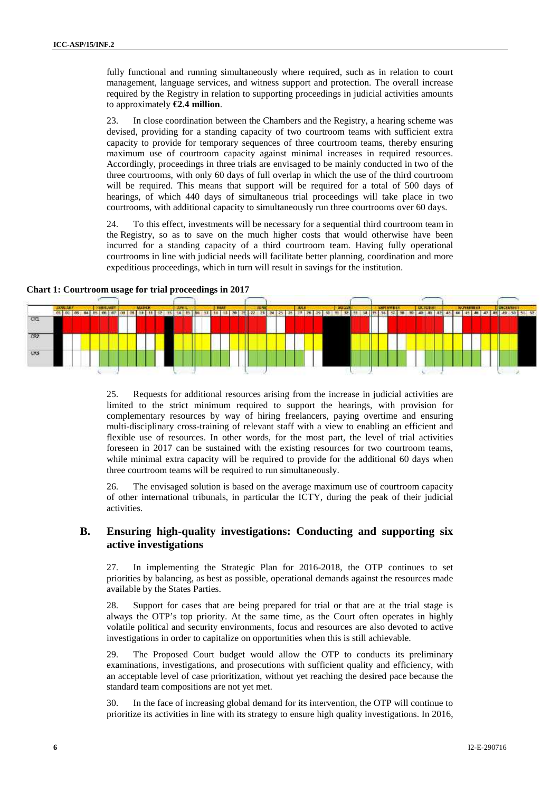fully functional and running simultaneously where required, such as in relation to court management, language services, and witness support and protection. The overall increase required by the Registry in relation to supporting proceedings in judicial activities amounts to approximately **€2.4 million**.

23. In close coordination between the Chambers and the Registry, a hearing scheme was devised, providing for a standing capacity of two courtroom teams with sufficient extra capacity to provide for temporary sequences of three courtroom teams, thereby ensuring maximum use of courtroom capacity against minimal increases in required resources. Accordingly, proceedings in three trials are envisaged to be mainly conducted in two of the three courtrooms, with only 60 days of full overlap in which the use of the third courtroom will be required. This means that support will be required for a total of 500 days of hearings, of which 440 days of simultaneous trial proceedings will take place in two courtrooms, with additional capacity to simultaneously run three courtrooms over 60 days.

24. To this effect, investments will be necessary for a sequential third courtroom team in the Registry, so as to save on the much higher costs that would otherwise have been incurred for a standing capacity of a third courtroom team. Having fully operational courtrooms in line with judicial needs will facilitate better planning, coordination and more expeditious proceedings, which in turn will result in savings for the institution.

**Chart 1: Courtroom usage for trial proceedings in 2017**



25. Requests for additional resources arising from the increase in judicial activities are limited to the strict minimum required to support the hearings, with provision for complementary resources by way of hiring freelancers, paying overtime and ensuring multi-disciplinary cross-training of relevant staff with a view to enabling an efficient and flexible use of resources. In other words, for the most part, the level of trial activities foreseen in 2017 can be sustained with the existing resources for two courtroom teams, while minimal extra capacity will be required to provide for the additional 60 days when three courtroom teams will be required to run simultaneously.

26. The envisaged solution is based on the average maximum use of courtroom capacity of other international tribunals, in particular the ICTY, during the peak of their judicial activities.

### **B. Ensuring high-quality investigations: Conducting and supporting six active investigations**

27. In implementing the Strategic Plan for 2016-2018, the OTP continues to set priorities by balancing, as best as possible, operational demands against the resources made available by the States Parties.

28. Support for cases that are being prepared for trial or that are at the trial stage is always the OTP's top priority. At the same time, as the Court often operates in highly volatile political and security environments, focus and resources are also devoted to active investigations in order to capitalize on opportunities when this is still achievable.

29. The Proposed Court budget would allow the OTP to conducts its preliminary examinations, investigations, and prosecutions with sufficient quality and efficiency, with an acceptable level of case prioritization, without yet reaching the desired pace because the standard team compositions are not yet met.

30. In the face of increasing global demand for its intervention, the OTP will continue to prioritize its activities in line with its strategy to ensure high quality investigations. In 2016,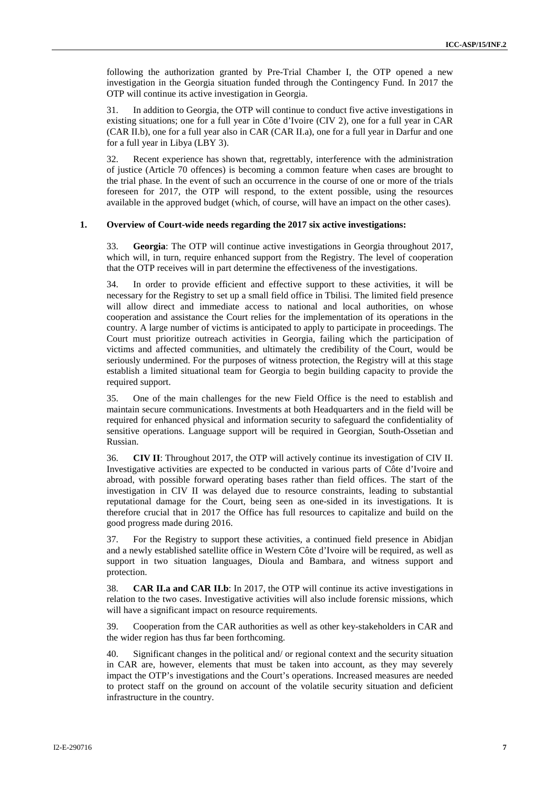following the authorization granted by Pre-Trial Chamber I, the OTP opened a new investigation in the Georgia situation funded through the Contingency Fund. In 2017 the OTP will continue its active investigation in Georgia.

31. In addition to Georgia, the OTP will continue to conduct five active investigations in existing situations; one for a full year in Côte d'Ivoire (CIV 2), one for a full year in CAR (CAR II.b), one for a full year also in CAR (CAR II.a), one for a full year in Darfur and one for a full year in Libya (LBY 3).

32. Recent experience has shown that, regrettably, interference with the administration of justice (Article 70 offences) is becoming a common feature when cases are brought to the trial phase. In the event of such an occurrence in the course of one or more of the trials foreseen for 2017, the OTP will respond, to the extent possible, using the resources available in the approved budget (which, of course, will have an impact on the other cases).

#### **1. Overview of Court-wide needs regarding the 2017 six active investigations:**

33. **Georgia**: The OTP will continue active investigations in Georgia throughout 2017, which will, in turn, require enhanced support from the Registry. The level of cooperation that the OTP receives will in part determine the effectiveness of the investigations.

34. In order to provide efficient and effective support to these activities, it will be necessary for the Registry to set up a small field office in Tbilisi. The limited field presence will allow direct and immediate access to national and local authorities, on whose cooperation and assistance the Court relies for the implementation of its operations in the country. A large number of victims is anticipated to apply to participate in proceedings. The Court must prioritize outreach activities in Georgia, failing which the participation of victims and affected communities, and ultimately the credibility of the Court, would be seriously undermined. For the purposes of witness protection, the Registry will at this stage establish a limited situational team for Georgia to begin building capacity to provide the required support.

35. One of the main challenges for the new Field Office is the need to establish and maintain secure communications. Investments at both Headquarters and in the field will be required for enhanced physical and information security to safeguard the confidentiality of sensitive operations. Language support will be required in Georgian, South-Ossetian and Russian.

36. **CIV II**: Throughout 2017, the OTP will actively continue its investigation of CIV II. Investigative activities are expected to be conducted in various parts of Côte d'Ivoire and abroad, with possible forward operating bases rather than field offices. The start of the investigation in CIV II was delayed due to resource constraints, leading to substantial reputational damage for the Court, being seen as one-sided in its investigations. It is therefore crucial that in 2017 the Office has full resources to capitalize and build on the good progress made during 2016.

37. For the Registry to support these activities, a continued field presence in Abidjan and a newly established satellite office in Western Côte d'Ivoire will be required, as well as support in two situation languages, Dioula and Bambara, and witness support and protection.

38. **CAR II.a and CAR II.b**: In 2017, the OTP will continue its active investigations in relation to the two cases. Investigative activities will also include forensic missions, which will have a significant impact on resource requirements.

39. Cooperation from the CAR authorities as well as other key-stakeholders in CAR and the wider region has thus far been forthcoming.

40. Significant changes in the political and/ or regional context and the security situation in CAR are, however, elements that must be taken into account, as they may severely impact the OTP's investigations and the Court's operations. Increased measures are needed to protect staff on the ground on account of the volatile security situation and deficient infrastructure in the country.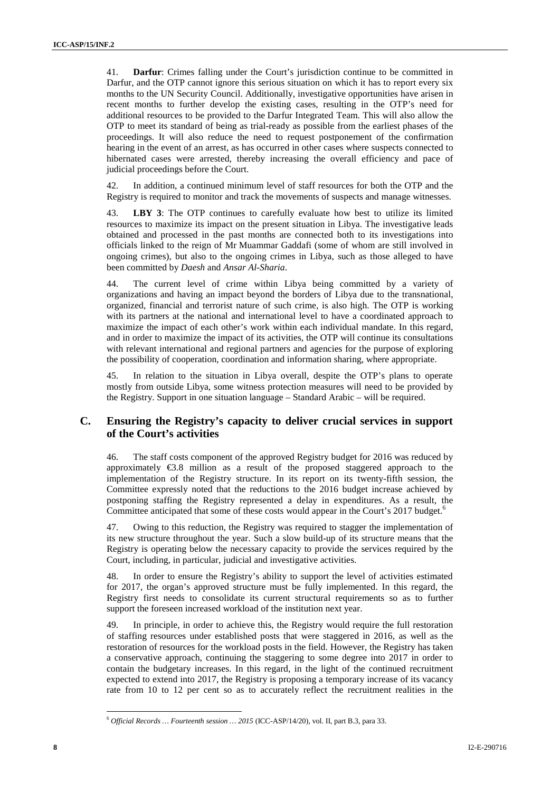41. **Darfur**: Crimes falling under the Court's jurisdiction continue to be committed in Darfur, and the OTP cannot ignore this serious situation on which it has to report every six months to the UN Security Council. Additionally, investigative opportunities have arisen in recent months to further develop the existing cases, resulting in the OTP's need for additional resources to be provided to the Darfur Integrated Team. This will also allow the OTP to meet its standard of being as trial-ready as possible from the earliest phases of the proceedings. It will also reduce the need to request postponement of the confirmation hearing in the event of an arrest, as has occurred in other cases where suspects connected to hibernated cases were arrested, thereby increasing the overall efficiency and pace of judicial proceedings before the Court.

42. In addition, a continued minimum level of staff resources for both the OTP and the Registry is required to monitor and track the movements of suspects and manage witnesses.

43. **LBY 3**: The OTP continues to carefully evaluate how best to utilize its limited resources to maximize its impact on the present situation in Libya. The investigative leads obtained and processed in the past months are connected both to its investigations into officials linked to the reign of Mr Muammar Gaddafi (some of whom are still involved in ongoing crimes), but also to the ongoing crimes in Libya, such as those alleged to have been committed by *Daesh* and *Ansar Al-Sharia*.

44. The current level of crime within Libya being committed by a variety of organizations and having an impact beyond the borders of Libya due to the transnational, organized, financial and terrorist nature of such crime, is also high. The OTP is working with its partners at the national and international level to have a coordinated approach to maximize the impact of each other's work within each individual mandate. In this regard, and in order to maximize the impact of its activities, the OTP will continue its consultations with relevant international and regional partners and agencies for the purpose of exploring the possibility of cooperation, coordination and information sharing, where appropriate.

45. In relation to the situation in Libya overall, despite the OTP's plans to operate mostly from outside Libya, some witness protection measures will need to be provided by the Registry. Support in one situation language – Standard Arabic – will be required.

### **C. Ensuring the Registry's capacity to deliver crucial services in support of the Court's activities**

46. The staff costs component of the approved Registry budget for 2016 was reduced by approximately €3.8 million as a result of the proposed staggered approach to the implementation of the Registry structure. In its report on its twenty-fifth session, the Committee expressly noted that the reductions to the 2016 budget increase achieved by postponing staffing the Registry represented a delay in expenditures. As a result, the Committee anticipated that some of these costs would appear in the Court's 2017 budget.<sup>6</sup>

47. Owing to this reduction, the Registry was required to stagger the implementation of its new structure throughout the year. Such a slow build-up of its structure means that the Registry is operating below the necessary capacity to provide the services required by the Court, including, in particular, judicial and investigative activities.

48. In order to ensure the Registry's ability to support the level of activities estimated for 2017, the organ's approved structure must be fully implemented. In this regard, the Registry first needs to consolidate its current structural requirements so as to further support the foreseen increased workload of the institution next year.

49. In principle, in order to achieve this, the Registry would require the full restoration of staffing resources under established posts that were staggered in 2016, as well as the restoration of resources for the workload posts in the field. However, the Registry has taken a conservative approach, continuing the staggering to some degree into 2017 in order to contain the budgetary increases. In this regard, in the light of the continued recruitment expected to extend into 2017, the Registry is proposing a temporary increase of its vacancy rate from 10 to 12 per cent so as to accurately reflect the recruitment realities in the

<sup>6</sup> *Official Records … Fourteenth session … 2015* (ICC-ASP/14/20), vol. II, part B.3, para 33.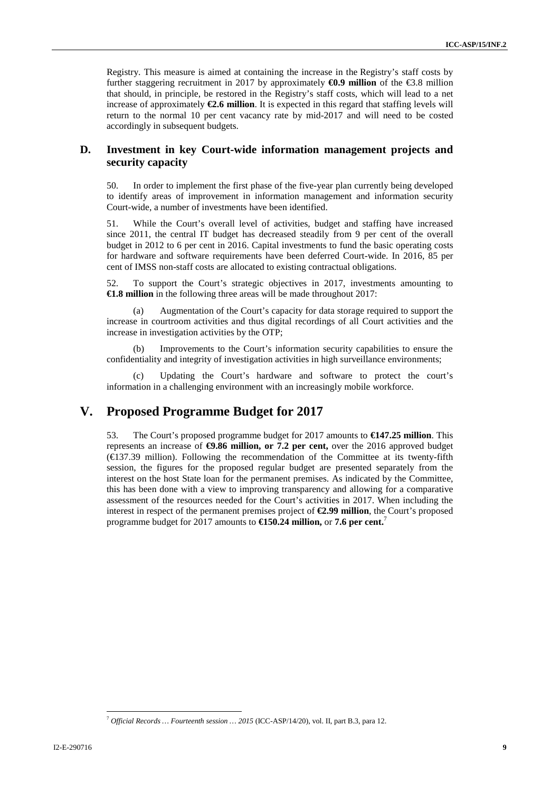Registry. This measure is aimed at containing the increase in the Registry's staff costs by further staggering recruitment in 2017 by approximately **€0.9 million** of the €3.8 million that should, in principle, be restored in the Registry's staff costs, which will lead to a net increase of approximately **€2.6 million**. It is expected in this regard that staffing levels will return to the normal 10 per cent vacancy rate by mid-2017 and will need to be costed accordingly in subsequent budgets.

### **D. Investment in key Court-wide information management projects and security capacity**

50. In order to implement the first phase of the five-year plan currently being developed to identify areas of improvement in information management and information security Court-wide, a number of investments have been identified.

51. While the Court's overall level of activities, budget and staffing have increased since 2011, the central IT budget has decreased steadily from 9 per cent of the overall budget in 2012 to 6 per cent in 2016. Capital investments to fund the basic operating costs for hardware and software requirements have been deferred Court-wide. In 2016, 85 per cent of IMSS non-staff costs are allocated to existing contractual obligations.

52. To support the Court's strategic objectives in 2017, investments amounting to **€1.8 million** in the following three areas will be made throughout 2017:

Augmentation of the Court's capacity for data storage required to support the increase in courtroom activities and thus digital recordings of all Court activities and the increase in investigation activities by the OTP;

(b) Improvements to the Court's information security capabilities to ensure the confidentiality and integrity of investigation activities in high surveillance environments;

Updating the Court's hardware and software to protect the court's information in a challenging environment with an increasingly mobile workforce.

### **V. Proposed Programme Budget for 2017**

53. The Court's proposed programme budget for 2017 amounts to **€147.25 million**. This represents an increase of **€9.86 million, or 7.2 per cent,** over the 2016 approved budget  $(\text{E}37.39 \text{ million})$ . Following the recommendation of the Committee at its twenty-fifth session, the figures for the proposed regular budget are presented separately from the interest on the host State loan for the permanent premises. As indicated by the Committee, this has been done with a view to improving transparency and allowing for a comparative assessment of the resources needed for the Court's activities in 2017. When including the interest in respect of the permanent premises project of **€2.99 million**, the Court's proposed programme budget for 2017 amounts to **€150.24 million,** or **7.6 per cent.**<sup>7</sup>

<sup>7</sup> *Official Records … Fourteenth session … 2015* (ICC-ASP/14/20), vol. II, part B.3, para 12.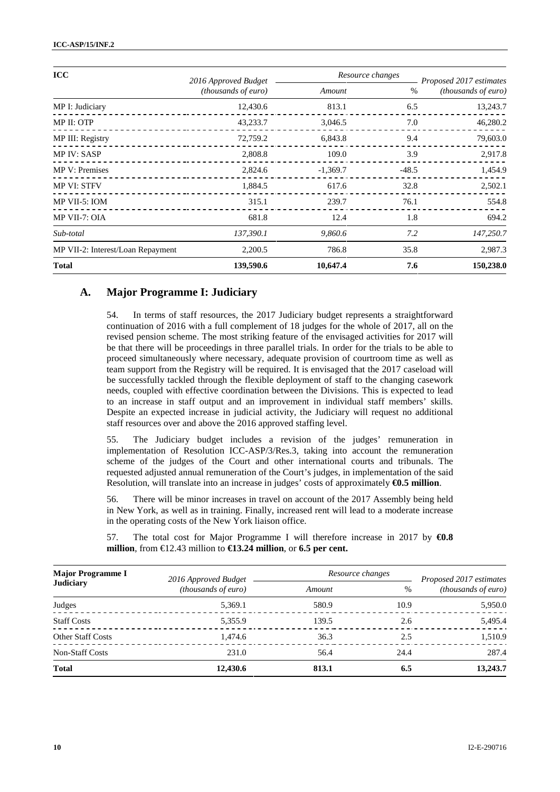| <b>ICC</b>                        | 2016 Approved Budget | Resource changes |         | Proposed 2017 estimates |
|-----------------------------------|----------------------|------------------|---------|-------------------------|
|                                   | (thousands of euro)  | Amount           | $\%$    | (thousands of euro)     |
| MP I: Judiciary                   | 12,430.6             | 813.1            | 6.5     | 13,243.7                |
| MP II: OTP                        | 43,233.7             | 3,046.5          | 7.0     | 46,280.2                |
| MP III: Registry                  | 72,759.2             | 6,843.8          | 9.4     | 79,603.0                |
| <b>MP IV: SASP</b>                | 2,808.8              | 109.0            | 3.9     | 2,917.8                 |
| <b>MP V: Premises</b>             | 2,824.6              | $-1,369.7$       | $-48.5$ | 1,454.9                 |
| <b>MP VI: STFV</b>                | 1,884.5              | 617.6            | 32.8    | 2,502.1                 |
| MP VII-5: IOM                     | 315.1                | 239.7            | 76.1    | 554.8                   |
| MP VII-7: OIA                     | 681.8                | 12.4             | 1.8     | 694.2                   |
| Sub-total                         | 137,390.1            | 9,860.6          | 7.2     | 147,250.7               |
| MP VII-2: Interest/Loan Repayment | 2,200.5              | 786.8            | 35.8    | 2,987.3                 |
| <b>Total</b>                      | 139,590.6            | 10,647.4         | 7.6     | 150,238.0               |

#### **A. Major Programme I: Judiciary**

54. In terms of staff resources, the 2017 Judiciary budget represents a straightforward continuation of 2016 with a full complement of 18 judges for the whole of 2017, all on the revised pension scheme. The most striking feature of the envisaged activities for 2017 will be that there will be proceedings in three parallel trials. In order for the trials to be able to proceed simultaneously where necessary, adequate provision of courtroom time as well as team support from the Registry will be required. It is envisaged that the 2017 caseload will be successfully tackled through the flexible deployment of staff to the changing casework needs, coupled with effective coordination between the Divisions. This is expected to lead to an increase in staff output and an improvement in individual staff members' skills. Despite an expected increase in judicial activity, the Judiciary will request no additional staff resources over and above the 2016 approved staffing level.

55. The Judiciary budget includes a revision of the judges' remuneration in implementation of Resolution ICC-ASP/3/Res.3, taking into account the remuneration scheme of the judges of the Court and other international courts and tribunals. The requested adjusted annual remuneration of the Court's judges, in implementation of the said Resolution, will translate into an increase in judges' costs of approximately **€0.5 million**.

56. There will be minor increases in travel on account of the 2017 Assembly being held in New York, as well as in training. Finally, increased rent will lead to a moderate increase in the operating costs of the New York liaison office.

57. The total cost for Major Programme I will therefore increase in 2017 by **€0.8 million**, from €12.43 million to **€13.24 million**, or **6.5 per cent.**

| <b>Major Programme I</b> | 2016 Approved Budget | Resource changes | Proposed 2017 estimates |                     |  |
|--------------------------|----------------------|------------------|-------------------------|---------------------|--|
| <b>Judiciary</b>         | (thousands of euro)  | %<br>Amount      |                         | (thousands of euro) |  |
| Judges                   | 5.369.1              | 580.9            | 10.9                    | 5,950.0             |  |
| <b>Staff Costs</b>       | 5,355.9              | 139.5            | 2.6                     | 5.495.4             |  |
| Other Staff Costs        | 1,474.6              | 36.3             | 2.5                     | 1,510.9             |  |
| <b>Non-Staff Costs</b>   | 231.0                | 56.4             | 24.4                    | 287.4               |  |
| <b>Total</b>             | 12.430.6             | 813.1            | 6.5                     | 13,243.7            |  |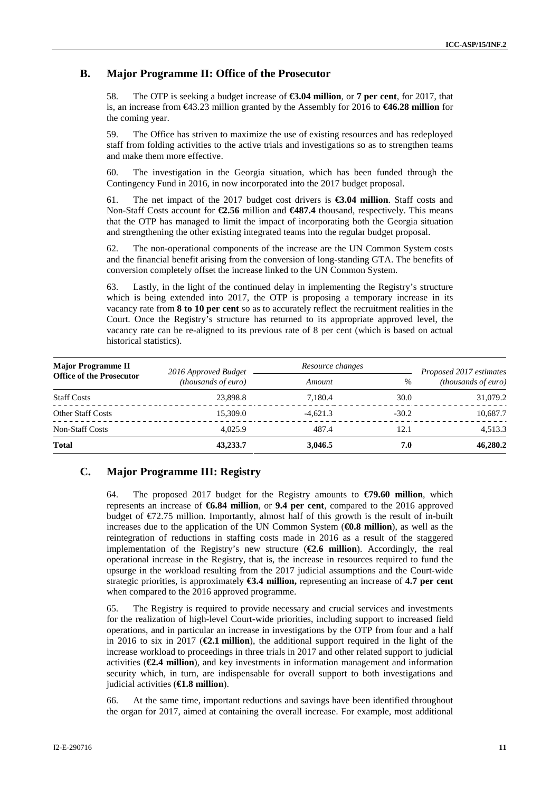### **B. Major Programme II: Office of the Prosecutor**

58. The OTP is seeking a budget increase of **€3.04 million**, or **7 per cent**, for 2017, that is, an increase from €43.23 million granted by the Assembly for 2016 to **€46.28 million** for the coming year.

59. The Office has striven to maximize the use of existing resources and has redeployed staff from folding activities to the active trials and investigations so as to strengthen teams and make them more effective.

60. The investigation in the Georgia situation, which has been funded through the Contingency Fund in 2016, in now incorporated into the 2017 budget proposal.

61. The net impact of the 2017 budget cost drivers is **€3.04 million**. Staff costs and Non-Staff Costs account for **€2.56** million and **€487.4** thousand, respectively. This means that the OTP has managed to limit the impact of incorporating both the Georgia situation and strengthening the other existing integrated teams into the regular budget proposal.

62. The non-operational components of the increase are the UN Common System costs and the financial benefit arising from the conversion of long-standing GTA. The benefits of conversion completely offset the increase linked to the UN Common System.

63. Lastly, in the light of the continued delay in implementing the Registry's structure which is being extended into 2017, the OTP is proposing a temporary increase in its vacancy rate from **8 to 10 per cent** so as to accurately reflect the recruitment realities in the Court. Once the Registry's structure has returned to its appropriate approved level, the vacancy rate can be re-aligned to its previous rate of 8 per cent (which is based on actual historical statistics).

| <b>Major Programme II</b>       | 2016 Approved Budget         | Resource changes<br>$\frac{0}{0}$<br>Amount |         | Proposed 2017 estimates<br>( <i>thousands of euro</i> ) |  |
|---------------------------------|------------------------------|---------------------------------------------|---------|---------------------------------------------------------|--|
| <b>Office of the Prosecutor</b> | ( <i>thousands of euro</i> ) |                                             |         |                                                         |  |
| <b>Staff Costs</b>              | 23,898.8                     | 7.180.4                                     | 30.0    | 31,079.2                                                |  |
| Other Staff Costs               | 15,309.0                     | $-4.621.3$                                  | $-30.2$ | 10.687.7                                                |  |
| <b>Non-Staff Costs</b>          | 4.025.9                      | 487.4                                       | 12.1    | 4.513.3                                                 |  |
| <b>Total</b>                    | 43,233.7                     | 3,046.5                                     | 7.0     | 46,280.2                                                |  |

#### **C. Major Programme III: Registry**

64. The proposed 2017 budget for the Registry amounts to **€79.60 million**, which represents an increase of **€6.84 million**, or **9.4 per cent**, compared to the 2016 approved budget of  $\epsilon$ 72.75 million. Importantly, almost half of this growth is the result of in-built increases due to the application of the UN Common System (**€0.8 million**), as well as the reintegration of reductions in staffing costs made in 2016 as a result of the staggered implementation of the Registry's new structure (**€2.6 million**). Accordingly, the real operational increase in the Registry, that is, the increase in resources required to fund the upsurge in the workload resulting from the 2017 judicial assumptions and the Court-wide strategic priorities, is approximately **€3.4 million,** representing an increase of **4.7 per cent** when compared to the 2016 approved programme.

65. The Registry is required to provide necessary and crucial services and investments for the realization of high-level Court-wide priorities, including support to increased field operations, and in particular an increase in investigations by the OTP from four and a half in 2016 to six in 2017 (**€2.1 million**), the additional support required in the light of the increase workload to proceedings in three trials in 2017 and other related support to judicial activities ( $\mathcal{Q},$ 4 million), and key investments in information management and information security which, in turn, are indispensable for overall support to both investigations and judicial activities (**€1.8 million**).

66. At the same time, important reductions and savings have been identified throughout the organ for 2017, aimed at containing the overall increase. For example, most additional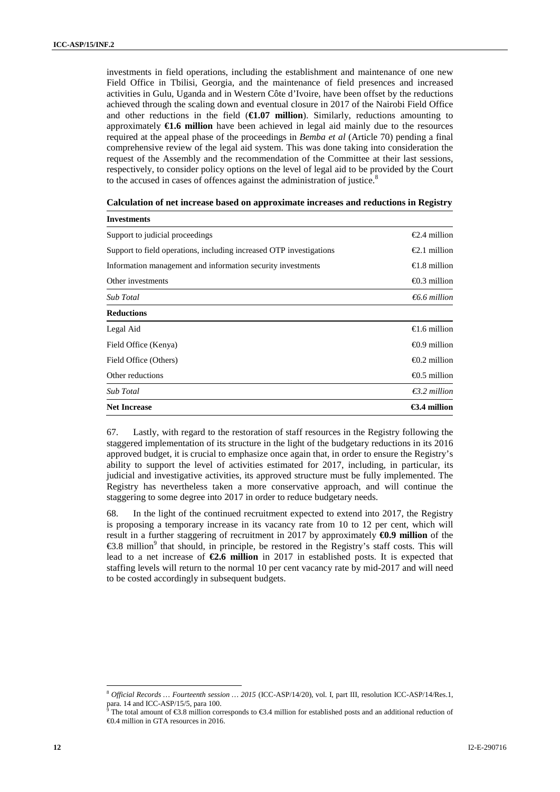investments in field operations, including the establishment and maintenance of one new Field Office in Tbilisi, Georgia, and the maintenance of field presences and increased activities in Gulu, Uganda and in Western Côte d'Ivoire, have been offset by the reductions achieved through the scaling down and eventual closure in 2017 of the Nairobi Field Office and other reductions in the field  $(\bigoplus 0.07 \text{ million})$ . Similarly, reductions amounting to approximately **€1.6 million** have been achieved in legal aid mainly due to the resources required at the appeal phase of the proceedings in *Bemba et al* (Article 70) pending a final comprehensive review of the legal aid system. This was done taking into consideration the request of the Assembly and the recommendation of the Committee at their last sessions, respectively, to consider policy options on the level of legal aid to be provided by the Court to the accused in cases of offences against the administration of justice. $8$ 

| <b>Investments</b>                                                  |                         |
|---------------------------------------------------------------------|-------------------------|
| Support to judicial proceedings                                     | $\epsilon$ 2.4 million  |
| Support to field operations, including increased OTP investigations | $\epsilon$ 2.1 million  |
| Information management and information security investments         | $\bigoplus$ 8.8 million |
| Other investments                                                   | $\bigoplus$ .3 million  |
| <b>Sub Total</b>                                                    | $\epsilon$ 6.6 million  |
| <b>Reductions</b>                                                   |                         |
| Legal Aid                                                           | $\bigoplus$ 6 million   |
| Field Office (Kenya)                                                | $\bigoplus$ .9 million  |
| Field Office (Others)                                               | $\bigoplus$ 2 million   |
| Other reductions                                                    | $\bigoplus$ 5 million   |
| <b>Sub Total</b>                                                    | €3.2 million            |
| <b>Net Increase</b>                                                 | $\bigoplus$ .4 million  |

**Calculation of net increase based on approximate increases and reductions in Registry**

67. Lastly, with regard to the restoration of staff resources in the Registry following the staggered implementation of its structure in the light of the budgetary reductions in its 2016 approved budget, it is crucial to emphasize once again that, in order to ensure the Registry's ability to support the level of activities estimated for 2017, including, in particular, its judicial and investigative activities, its approved structure must be fully implemented. The Registry has nevertheless taken a more conservative approach, and will continue the staggering to some degree into 2017 in order to reduce budgetary needs.

68. In the light of the continued recruitment expected to extend into 2017, the Registry is proposing a temporary increase in its vacancy rate from 10 to 12 per cent, which will result in a further staggering of recruitment in 2017 by approximately **€0.9 million** of the  $\epsilon$ 3.8 million<sup>9</sup> that should, in principle, be restored in the Registry's staff costs. This will lead to a net increase of **€2.6 million** in 2017 in established posts. It is expected that staffing levels will return to the normal 10 per cent vacancy rate by mid-2017 and will need to be costed accordingly in subsequent budgets.

<sup>8</sup> *Official Records … Fourteenth session … 2015* (ICC-ASP/14/20), vol. I, part III, resolution ICC-ASP/14/Res.1, para. 14 and ICC-ASP/15/5, para 100.

The total amount of €3.8 million corresponds to €3.4 million for established posts and an additional reduction of €0.4 million in GTA resources in 2016.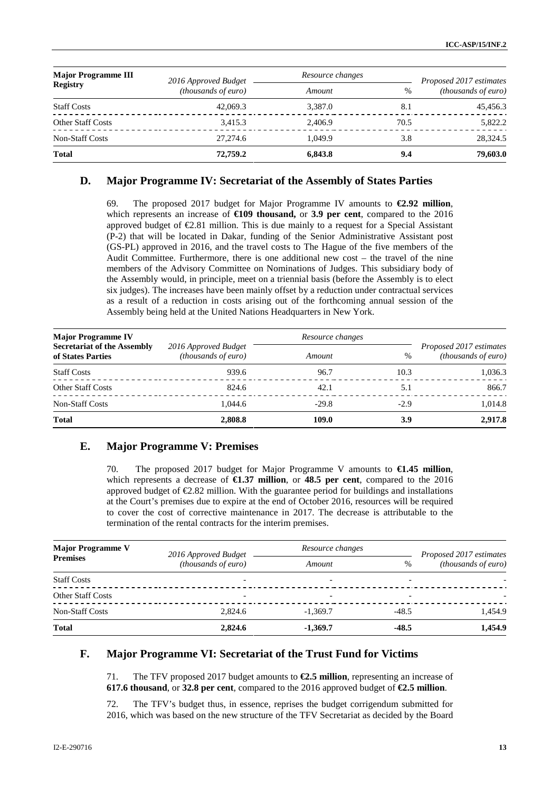| <b>Major Programme III</b> | Resource changes<br>2016 Approved Budget – |         |      | Proposed 2017 estimates      |  |
|----------------------------|--------------------------------------------|---------|------|------------------------------|--|
| <b>Registry</b>            | (thousands of euro)                        | Amount  |      | ( <i>thousands of euro</i> ) |  |
| <b>Staff Costs</b>         | 42,069.3                                   | 3,387.0 | 8.1  | 45.456.3                     |  |
| <b>Other Staff Costs</b>   | 3.415.3                                    | 2.406.9 | 70.5 | 5.822.2                      |  |
| <b>Non-Staff Costs</b>     | 27.274.6                                   | 1.049.9 | 3.8  | 28,324.5                     |  |
| <b>Total</b>               | 72,759.2                                   | 6,843.8 | 9.4  | 79,603.0                     |  |

#### **D. Major Programme IV: Secretariat of the Assembly of States Parties**

69. The proposed 2017 budget for Major Programme IV amounts to **€2.92 million**, which represents an increase of **€109 thousand,** or **3.9 per cent**, compared to the 2016 approved budget of  $\epsilon 2.81$  million. This is due mainly to a request for a Special Assistant (P-2) that will be located in Dakar, funding of the Senior Administrative Assistant post (GS-PL) approved in 2016, and the travel costs to The Hague of the five members of the Audit Committee. Furthermore, there is one additional new cost – the travel of the nine members of the Advisory Committee on Nominations of Judges. This subsidiary body of the Assembly would, in principle, meet on a triennial basis (before the Assembly is to elect six judges). The increases have been mainly offset by a reduction under contractual services as a result of a reduction in costs arising out of the forthcoming annual session of the Assembly being held at the United Nations Headquarters in New York.

| <b>Major Programme IV</b>                               |                                                      | Resource changes |               |                                                |  |
|---------------------------------------------------------|------------------------------------------------------|------------------|---------------|------------------------------------------------|--|
| <b>Secretariat of the Assembly</b><br>of States Parties | 2016 Approved Budget<br>( <i>thousands of euro</i> ) | Amount           | $\frac{0}{0}$ | Proposed 2017 estimates<br>(thousands of euro) |  |
| <b>Staff Costs</b>                                      | 939.6                                                | 96.7             | 10.3          | 1,036.3                                        |  |
| <b>Other Staff Costs</b>                                | 824.6                                                | 42.1             | 5.1           | 866.7                                          |  |
| <b>Non-Staff Costs</b>                                  | 1.044.6                                              | $-29.8$          | $-2.9$        | 1.014.8                                        |  |
| <b>Total</b>                                            | 2,808.8                                              | 109.0            | 3.9           | 2,917.8                                        |  |

#### **E. Major Programme V: Premises**

70. The proposed 2017 budget for Major Programme V amounts to **€1.45 million**, which represents a decrease of **€1.37 million**, or **48.5 per cent**, compared to the 2016 approved budget of  $\epsilon$ 2.82 million. With the guarantee period for buildings and installations at the Court's premises due to expire at the end of October 2016, resources will be required to cover the cost of corrective maintenance in 2017. The decrease is attributable to the termination of the rental contracts for the interim premises.

| <b>Major Programme V</b> | 2016 Approved Budget         | Resource changes<br>$\%$<br>Amount |         | Proposed 2017 estimates<br>( <i>thousands of euro</i> ) |
|--------------------------|------------------------------|------------------------------------|---------|---------------------------------------------------------|
| <b>Premises</b>          | ( <i>thousands of euro</i> ) |                                    |         |                                                         |
| <b>Staff Costs</b>       |                              |                                    |         |                                                         |
| <b>Other Staff Costs</b> |                              |                                    |         |                                                         |
| <b>Non-Staff Costs</b>   | 2.824.6                      | $-1.369.7$                         | $-48.5$ | 1.454.9                                                 |
| <b>Total</b>             | 2,824.6                      | $-1,369.7$                         | $-48.5$ | 1,454.9                                                 |

### **F. Major Programme VI: Secretariat of the Trust Fund for Victims**

71. The TFV proposed 2017 budget amounts to **€2.5 million**, representing an increase of **617.6 thousand**, or **32.8 per cent**, compared to the 2016 approved budget of **€2.5 million**.

72. The TFV's budget thus, in essence, reprises the budget corrigendum submitted for 2016, which was based on the new structure of the TFV Secretariat as decided by the Board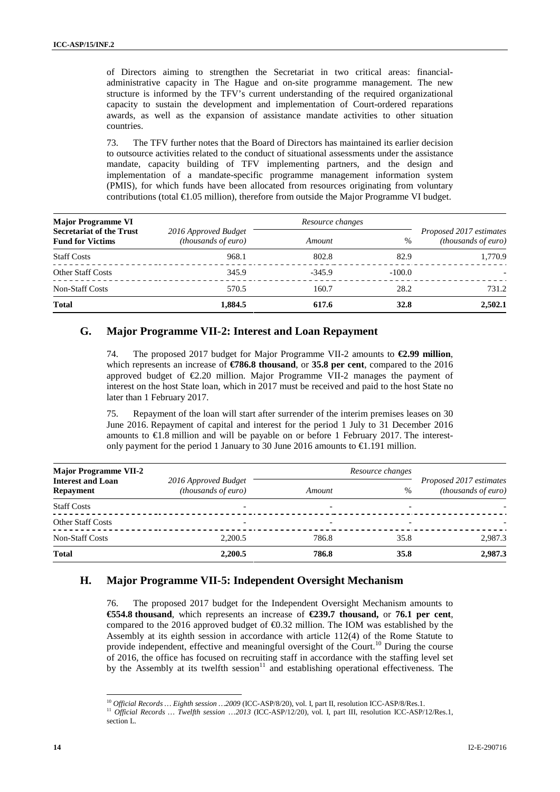of Directors aiming to strengthen the Secretariat in two critical areas: financial administrative capacity in The Hague and on-site programme management. The new structure is informed by the TFV's current understanding of the required organizational capacity to sustain the development and implementation of Court-ordered reparations awards, as well as the expansion of assistance mandate activities to other situation countries.

73. The TFV further notes that the Board of Directors has maintained its earlier decision to outsource activities related to the conduct of situational assessments under the assistance mandate, capacity building of TFV implementing partners, and the design and implementation of a mandate-specific programme management information system (PMIS), for which funds have been allocated from resources originating from voluntary contributions (total  $\bigoplus$  0.05 million), therefore from outside the Major Programme VI budget.

| <b>Major Programme VI</b>                                  |                                                      | Resource changes |          |                                                         |
|------------------------------------------------------------|------------------------------------------------------|------------------|----------|---------------------------------------------------------|
| <b>Secretariat of the Trust</b><br><b>Fund for Victims</b> | 2016 Approved Budget<br>( <i>thousands of euro</i> ) | Amount           |          | Proposed 2017 estimates<br>( <i>thousands of euro</i> ) |
| <b>Staff Costs</b>                                         | 968.1                                                | 802.8            | 82.9     | 1,770.9                                                 |
| <b>Other Staff Costs</b>                                   | 345.9                                                | $-345.9$         | $-100.0$ |                                                         |
| <b>Non-Staff Costs</b>                                     | 570.5                                                | 160.7            | 28.2     | 731.2                                                   |
| <b>Total</b>                                               | 1.884.5                                              | 617.6            | 32.8     | 2,502.1                                                 |

### **G. Major Programme VII-2: Interest and Loan Repayment**

74. The proposed 2017 budget for Major Programme VII-2 amounts to **€2.99 million**, which represents an increase of **€786.8 thousand**, or **35.8 per cent**, compared to the 2016 approved budget of  $E.20$  million. Major Programme VII-2 manages the payment of interest on the host State loan, which in 2017 must be received and paid to the host State no later than 1 February 2017.

75. Repayment of the loan will start after surrender of the interim premises leases on 30 June 2016. Repayment of capital and interest for the period 1 July to 31 December 2016 amounts to  $\bigoplus$ .8 million and will be payable on or before 1 February 2017. The interestonly payment for the period 1 January to 30 June 2016 amounts to  $\epsilon 1.191$  million.

| <b>Major Programme VII-2</b>                 |                                                      |                          | Resource changes         |                                                         |
|----------------------------------------------|------------------------------------------------------|--------------------------|--------------------------|---------------------------------------------------------|
| <b>Interest and Loan</b><br><b>Repayment</b> | 2016 Approved Budget<br>( <i>thousands of euro</i> ) | Amount                   | $\%$                     | Proposed 2017 estimates<br>( <i>thousands of euro</i> ) |
| <b>Staff Costs</b>                           |                                                      | $\overline{\phantom{0}}$ | $\overline{\phantom{0}}$ |                                                         |
| Other Staff Costs                            |                                                      | $\overline{\phantom{0}}$ | $\overline{\phantom{0}}$ |                                                         |
| <b>Non-Staff Costs</b>                       | 2.200.5                                              | 786.8                    | 35.8                     | 2.987.3                                                 |
| <b>Total</b>                                 | 2.200.5                                              | 786.8                    | 35.8                     | 2,987.3                                                 |

#### **H. Major Programme VII-5: Independent Oversight Mechanism**

76. The proposed 2017 budget for the Independent Oversight Mechanism amounts to **€554.8 thousand**, which represents an increase of **€239.7 thousand,** or **76.1 per cent**, compared to the 2016 approved budget of  $\Theta$ , 32 million. The IOM was established by the Assembly at its eighth session in accordance with article 112(4) of the Rome Statute to provide independent, effective and meaningful oversight of the Court.<sup>10</sup> During the course of 2016, the office has focused on recruiting staff in accordance with the staffing level set by the Assembly at its twelfth session $11$  and establishing operational effectiveness. The

<sup>&</sup>lt;sup>10</sup> Official Records ... Eighth session ...2009 (ICC-ASP/8/20), vol. I, part II, resolution ICC-ASP/8/Res.1.<br><sup>11</sup> Official Records ... Twelfth session ...2013 (ICC-ASP/12/20), vol. I, part III, resolution ICC-ASP/12/Res. section L.